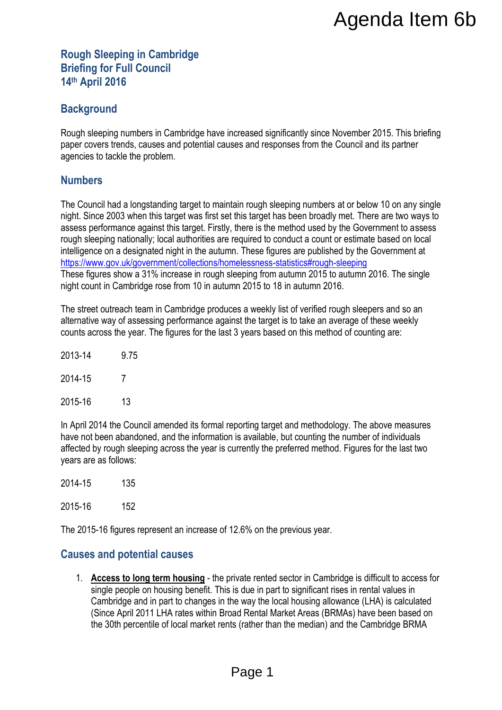#### **Rough Sleeping in Cambridge Briefing for Full Council 14th April 2016**

## **Background**

Rough sleeping numbers in Cambridge have increased significantly since November 2015. This briefing paper covers trends, causes and potential causes and responses from the Council and its partner agencies to tackle the problem.

### **Numbers**

The Council had a longstanding target to maintain rough sleeping numbers at or below 10 on any single night. Since 2003 when this target was first set this target has been broadly met. There are two ways to assess performance against this target. Firstly, there is the method used by the Government to assess rough sleeping nationally; local authorities are required to conduct a count or estimate based on local intelligence on a designated night in the autumn. These figures are published by the Government at <https://www.gov.uk/government/collections/homelessness-statistics#rough-sleeping> These figures show a 31% increase in rough sleeping from autumn 2015 to autumn 2016. The single night count in Cambridge rose from 10 in autumn 2015 to 18 in autumn 2016. **Agenda Item 6b**<br>
recreased significantly since November 2015. This briefing<br>
ses and responses from the Council and its partner<br>
tain rough sleeping numbers at or below 10 on any single<br>
this target has been broadly met.

The street outreach team in Cambridge produces a weekly list of verified rough sleepers and so an alternative way of assessing performance against the target is to take an average of these weekly counts across the year. The figures for the last 3 years based on this method of counting are:

| 2013-14 | 9.75 |
|---------|------|
| 2014-15 | 7    |
| 2015-16 | 13   |

In April 2014 the Council amended its formal reporting target and methodology. The above measures have not been abandoned, and the information is available, but counting the number of individuals affected by rough sleeping across the year is currently the preferred method. Figures for the last two years are as follows:

2014-15 135

2015-16 152

The 2015-16 figures represent an increase of 12.6% on the previous year.

#### **Causes and potential causes**

1. **Access to long term housing** - the private rented sector in Cambridge is difficult to access for single people on housing benefit. This is due in part to significant rises in rental values in Cambridge and in part to changes in the way the local housing allowance (LHA) is calculated (Since April 2011 LHA rates within Broad Rental Market Areas (BRMAs) have been based on the 30th percentile of local market rents (rather than the median) and the Cambridge BRMA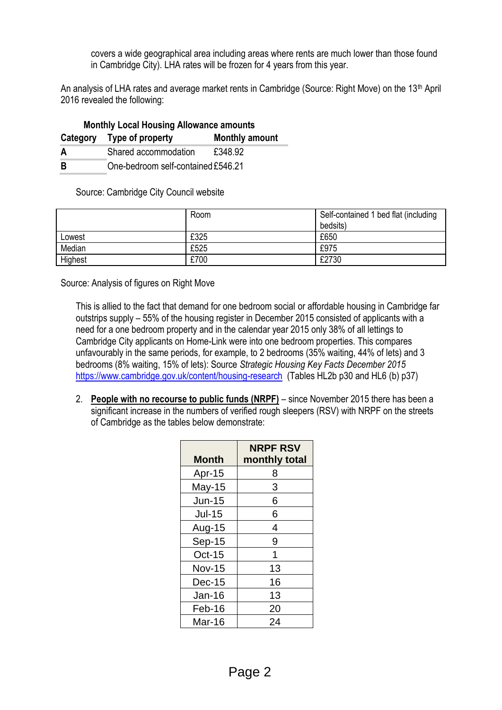covers a wide geographical area including areas where rents are much lower than those found in Cambridge City). LHA rates will be frozen for 4 years from this year.

An analysis of LHA rates and average market rents in Cambridge (Source: Right Move) on the 13<sup>th</sup> April 2016 revealed the following:

| <b>Monthly Local Housing Allowance amounts</b> |                                    |                       |  |  |
|------------------------------------------------|------------------------------------|-----------------------|--|--|
|                                                | Category Type of property          | <b>Monthly amount</b> |  |  |
| A                                              | Shared accommodation               | £348.92               |  |  |
| -R                                             | One-bedroom self-contained £546.21 |                       |  |  |

Source: Cambridge City Council website

|         | Room | Self-contained 1 bed flat (including |
|---------|------|--------------------------------------|
|         |      | bedsits)                             |
| Lowest  | £325 | £650                                 |
| Median  | £525 | £975                                 |
| Highest | £700 | £2730                                |

Source: Analysis of figures on Right Move

This is allied to the fact that demand for one bedroom social or affordable housing in Cambridge far outstrips supply – 55% of the housing register in December 2015 consisted of applicants with a need for a one bedroom property and in the calendar year 2015 only 38% of all lettings to Cambridge City applicants on Home-Link were into one bedroom properties. This compares unfavourably in the same periods, for example, to 2 bedrooms (35% waiting, 44% of lets) and 3 bedrooms (8% waiting, 15% of lets): Source *Strategic Housing Key Facts December 2015*  <https://www.cambridge.gov.uk/content/housing-research> (Tables HL2b p30 and HL6 (b) p37)

2. **People with no recourse to public funds (NRPF)** – since November 2015 there has been a significant increase in the numbers of verified rough sleepers (RSV) with NRPF on the streets of Cambridge as the tables below demonstrate:

| <b>Month</b>  | <b>NRPF RSV</b><br>monthly total |
|---------------|----------------------------------|
| Apr-15        | 8                                |
| May-15        | 3                                |
| <b>Jun-15</b> | 6                                |
| <b>Jul-15</b> | 6                                |
| Aug-15        | 4                                |
| Sep-15        | 9                                |
| $Oct-15$      | 1                                |
| <b>Nov-15</b> | 13                               |
| $Dec-15$      | 16                               |
| Jan-16        | 13                               |
| Feb-16        | 20                               |
| Mar-16        | 24                               |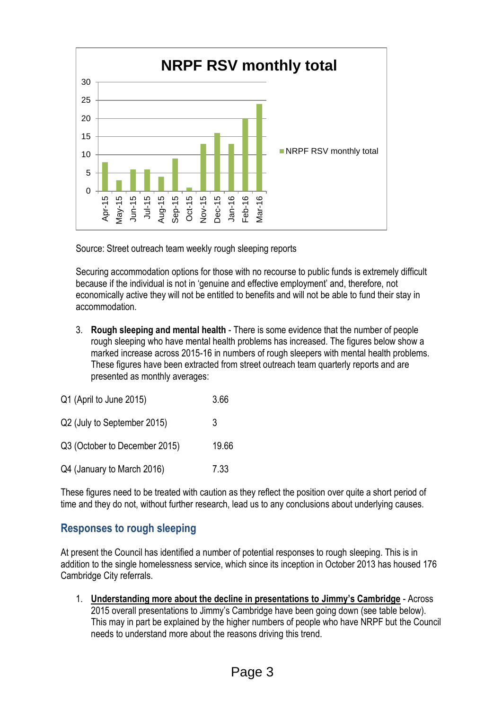

Source: Street outreach team weekly rough sleeping reports

Securing accommodation options for those with no recourse to public funds is extremely difficult because if the individual is not in 'genuine and effective employment' and, therefore, not economically active they will not be entitled to benefits and will not be able to fund their stay in accommodation.

3. **Rough sleeping and mental health** - There is some evidence that the number of people rough sleeping who have mental health problems has increased. The figures below show a marked increase across 2015-16 in numbers of rough sleepers with mental health problems. These figures have been extracted from street outreach team quarterly reports and are presented as monthly averages:

| Q1 (April to June 2015)       | 3.66  |
|-------------------------------|-------|
| Q2 (July to September 2015)   | 3     |
| Q3 (October to December 2015) | 19.66 |
| Q4 (January to March 2016)    | 7.33  |

These figures need to be treated with caution as they reflect the position over quite a short period of time and they do not, without further research, lead us to any conclusions about underlying causes.

# **Responses to rough sleeping**

At present the Council has identified a number of potential responses to rough sleeping. This is in addition to the single homelessness service, which since its inception in October 2013 has housed 176 Cambridge City referrals.

1. **Understanding more about the decline in presentations to Jimmy's Cambridge** - Across 2015 overall presentations to Jimmy's Cambridge have been going down (see table below). This may in part be explained by the higher numbers of people who have NRPF but the Council needs to understand more about the reasons driving this trend.